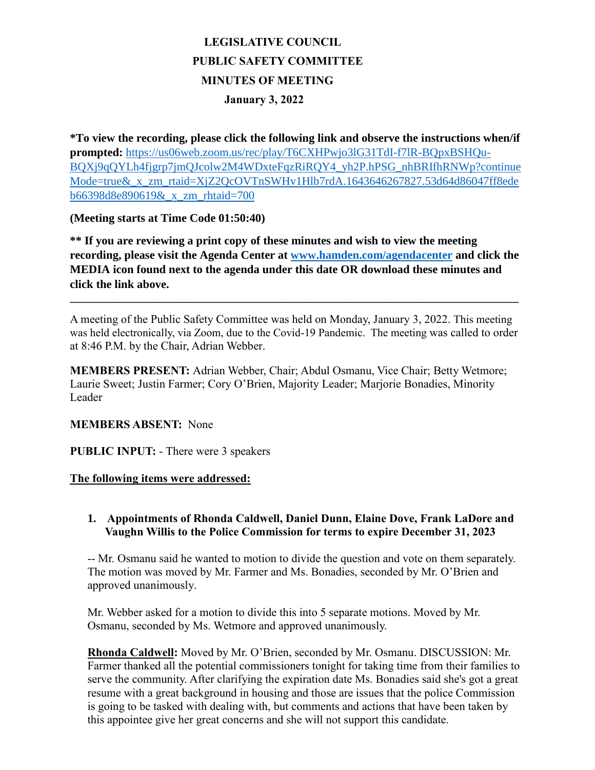# **LEGISLATIVE COUNCIL PUBLIC SAFETY COMMITTEE MINUTES OF MEETING January 3, 2022**

**\*To view the recording, please click the following link and observe the instructions when/if prompted:** [https://us06web.zoom.us/rec/play/T6CXHPwjo3lG31TdI-f7lR-BQpxBSHQu-](https://us06web.zoom.us/rec/play/T6CXHPwjo3lG31TdI-f7lR-BQpxBSHQu-BQXj9qQYLh4fjgrp7jmQJcolw2M4WDxteFqzRiRQY4_yh2P.hPSG_nhBRIfhRNWp?continueMode=true&_x_zm_rtaid=XjZ2QcOVTnSWHv1Hlb7rdA.1643646267827.53d64d86047ff8edeb66398d8e890619&_x_zm_rhtaid=700)BOXj9qOYLh4fjgrp7jmOJcolw2M4WDxteFqzRiROY4\_yh2P.hPSG\_nhBRIfhRNWp?continue [Mode=true&\\_x\\_zm\\_rtaid=XjZ2QcOVTnSWHv1Hlb7rdA.1643646267827.53d64d86047ff8ede](https://us06web.zoom.us/rec/play/T6CXHPwjo3lG31TdI-f7lR-BQpxBSHQu-BQXj9qQYLh4fjgrp7jmQJcolw2M4WDxteFqzRiRQY4_yh2P.hPSG_nhBRIfhRNWp?continueMode=true&_x_zm_rtaid=XjZ2QcOVTnSWHv1Hlb7rdA.1643646267827.53d64d86047ff8edeb66398d8e890619&_x_zm_rhtaid=700) [b66398d8e890619&\\_x\\_zm\\_rhtaid=700](https://us06web.zoom.us/rec/play/T6CXHPwjo3lG31TdI-f7lR-BQpxBSHQu-BQXj9qQYLh4fjgrp7jmQJcolw2M4WDxteFqzRiRQY4_yh2P.hPSG_nhBRIfhRNWp?continueMode=true&_x_zm_rtaid=XjZ2QcOVTnSWHv1Hlb7rdA.1643646267827.53d64d86047ff8edeb66398d8e890619&_x_zm_rhtaid=700)

## **(Meeting starts at Time Code 01:50:40)**

**\*\* If you are reviewing a print copy of these minutes and wish to view the meeting recording, please visit the Agenda Center at [www.hamden.com/agendacenter](http://www.hamden.com/agendacenter) and click the MEDIA icon found next to the agenda under this date OR download these minutes and click the link above.**

A meeting of the Public Safety Committee was held on Monday, January 3, 2022. This meeting was held electronically, via Zoom, due to the Covid-19 Pandemic. The meeting was called to order at 8:46 P.M. by the Chair, Adrian Webber.

**\_\_\_\_\_\_\_\_\_\_\_\_\_\_\_\_\_\_\_\_\_\_\_\_\_\_\_\_\_\_\_\_\_\_\_\_\_\_\_\_\_\_\_\_\_\_\_\_\_\_\_\_\_\_\_\_\_\_\_\_\_\_\_\_\_\_\_\_\_\_\_\_\_\_\_\_\_\_\_\_\_\_\_\_**

**MEMBERS PRESENT:** Adrian Webber, Chair; Abdul Osmanu, Vice Chair; Betty Wetmore; Laurie Sweet; Justin Farmer; Cory O'Brien, Majority Leader; Marjorie Bonadies, Minority Leader

#### **MEMBERS ABSENT:** None

**PUBLIC INPUT:** - There were 3 speakers

#### **The following items were addressed:**

### **1. Appointments of Rhonda Caldwell, Daniel Dunn, Elaine Dove, Frank LaDore and Vaughn Willis to the Police Commission for terms to expire December 31, 2023**

-- Mr. Osmanu said he wanted to motion to divide the question and vote on them separately. The motion was moved by Mr. Farmer and Ms. Bonadies, seconded by Mr. O'Brien and approved unanimously.

Mr. Webber asked for a motion to divide this into 5 separate motions. Moved by Mr. Osmanu, seconded by Ms. Wetmore and approved unanimously.

**Rhonda Caldwell:** Moved by Mr. O'Brien, seconded by Mr. Osmanu. DISCUSSION: Mr. Farmer thanked all the potential commissioners tonight for taking time from their families to serve the community. After clarifying the expiration date Ms. Bonadies said she's got a great resume with a great background in housing and those are issues that the police Commission is going to be tasked with dealing with, but comments and actions that have been taken by this appointee give her great concerns and she will not support this candidate.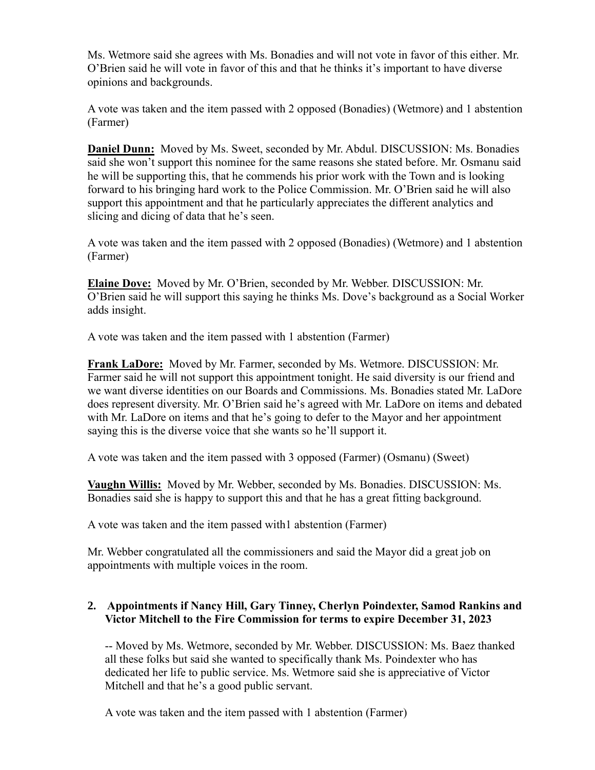Ms. Wetmore said she agrees with Ms. Bonadies and will not vote in favor of this either. Mr. O'Brien said he will vote in favor of this and that he thinks it's important to have diverse opinions and backgrounds.

A vote was taken and the item passed with 2 opposed (Bonadies) (Wetmore) and 1 abstention (Farmer)

**Daniel Dunn:** Moved by Ms. Sweet, seconded by Mr. Abdul. DISCUSSION: Ms. Bonadies said she won't support this nominee for the same reasons she stated before. Mr. Osmanu said he will be supporting this, that he commends his prior work with the Town and is looking forward to his bringing hard work to the Police Commission. Mr. O'Brien said he will also support this appointment and that he particularly appreciates the different analytics and slicing and dicing of data that he's seen.

A vote was taken and the item passed with 2 opposed (Bonadies) (Wetmore) and 1 abstention (Farmer)

**Elaine Dove:** Moved by Mr. O'Brien, seconded by Mr. Webber. DISCUSSION: Mr. O'Brien said he will support this saying he thinks Ms. Dove's background as a Social Worker adds insight.

A vote was taken and the item passed with 1 abstention (Farmer)

**Frank LaDore:** Moved by Mr. Farmer, seconded by Ms. Wetmore. DISCUSSION: Mr. Farmer said he will not support this appointment tonight. He said diversity is our friend and we want diverse identities on our Boards and Commissions. Ms. Bonadies stated Mr. LaDore does represent diversity. Mr. O'Brien said he's agreed with Mr. LaDore on items and debated with Mr. LaDore on items and that he's going to defer to the Mayor and her appointment saying this is the diverse voice that she wants so he'll support it.

A vote was taken and the item passed with 3 opposed (Farmer) (Osmanu) (Sweet)

**Vaughn Willis:** Moved by Mr. Webber, seconded by Ms. Bonadies. DISCUSSION: Ms. Bonadies said she is happy to support this and that he has a great fitting background.

A vote was taken and the item passed with1 abstention (Farmer)

Mr. Webber congratulated all the commissioners and said the Mayor did a great job on appointments with multiple voices in the room.

## **2. Appointments if Nancy Hill, Gary Tinney, Cherlyn Poindexter, Samod Rankins and Victor Mitchell to the Fire Commission for terms to expire December 31, 2023**

-- Moved by Ms. Wetmore, seconded by Mr. Webber. DISCUSSION: Ms. Baez thanked all these folks but said she wanted to specifically thank Ms. Poindexter who has dedicated her life to public service. Ms. Wetmore said she is appreciative of Victor Mitchell and that he's a good public servant.

A vote was taken and the item passed with 1 abstention (Farmer)